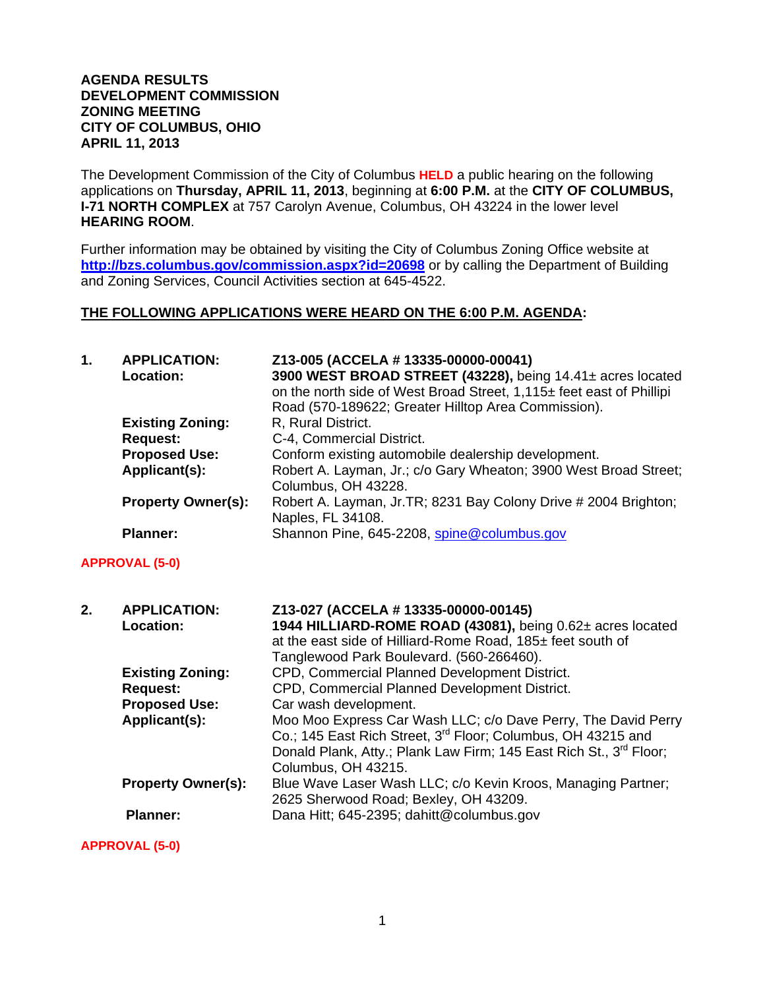### **AGENDA RESULTS DEVELOPMENT COMMISSION ZONING MEETING CITY OF COLUMBUS, OHIO APRIL 11, 2013**

The Development Commission of the City of Columbus **HELD** a public hearing on the following applications on **Thursday, APRIL 11, 2013**, beginning at **6:00 P.M.** at the **CITY OF COLUMBUS, I-71 NORTH COMPLEX** at 757 Carolyn Avenue, Columbus, OH 43224 in the lower level **HEARING ROOM**.

Further information may be obtained by visiting the City of Columbus Zoning Office website at **http://bzs.columbus.gov/commission.aspx?id=20698** or by calling the Department of Building and Zoning Services, Council Activities section at 645-4522.

### **THE FOLLOWING APPLICATIONS WERE HEARD ON THE 6:00 P.M. AGENDA:**

| 1. | <b>APPLICATION:</b><br>Location:<br><b>Existing Zoning:</b><br><b>Request:</b><br><b>Proposed Use:</b><br>Applicant(s): | Z13-005 (ACCELA # 13335-00000-00041)<br>3900 WEST BROAD STREET (43228), being 14.41± acres located<br>on the north side of West Broad Street, 1,115± feet east of Phillipi<br>Road (570-189622; Greater Hilltop Area Commission).<br>R, Rural District.<br>C-4, Commercial District.<br>Conform existing automobile dealership development.<br>Robert A. Layman, Jr.; c/o Gary Wheaton; 3900 West Broad Street;<br>Columbus, OH 43228. |
|----|-------------------------------------------------------------------------------------------------------------------------|----------------------------------------------------------------------------------------------------------------------------------------------------------------------------------------------------------------------------------------------------------------------------------------------------------------------------------------------------------------------------------------------------------------------------------------|
|    | <b>Property Owner(s):</b>                                                                                               | Robert A. Layman, Jr. TR; 8231 Bay Colony Drive # 2004 Brighton;<br>Naples, FL 34108.                                                                                                                                                                                                                                                                                                                                                  |
|    | <b>Planner:</b>                                                                                                         | Shannon Pine, 645-2208, spine@columbus.gov                                                                                                                                                                                                                                                                                                                                                                                             |
|    | <b>APPROVAL (5-0)</b>                                                                                                   |                                                                                                                                                                                                                                                                                                                                                                                                                                        |
| 2. | <b>APPLICATION:</b><br>Location:                                                                                        | Z13-027 (ACCELA # 13335-00000-00145)<br>1944 HILLIARD-ROME ROAD (43081), being 0.62± acres located<br>at the east side of Hilliard-Rome Road, 185± feet south of<br>Tanglewood Park Boulevard. (560-266460).                                                                                                                                                                                                                           |
|    | <b>Existing Zoning:</b><br><b>Request:</b>                                                                              | CPD, Commercial Planned Development District.<br>CPD, Commercial Planned Development District.                                                                                                                                                                                                                                                                                                                                         |
|    | <b>Proposed Use:</b>                                                                                                    | Car wash development.                                                                                                                                                                                                                                                                                                                                                                                                                  |
|    | Applicant(s):                                                                                                           | Moo Moo Express Car Wash LLC; c/o Dave Perry, The David Perry<br>Co.; 145 East Rich Street, 3 <sup>rd</sup> Floor; Columbus, OH 43215 and<br>Donald Plank, Atty.; Plank Law Firm; 145 East Rich St., 3rd Floor;<br>Columbus, OH 43215.                                                                                                                                                                                                 |
|    |                                                                                                                         |                                                                                                                                                                                                                                                                                                                                                                                                                                        |
|    | <b>Property Owner(s):</b>                                                                                               | Blue Wave Laser Wash LLC; c/o Kevin Kroos, Managing Partner;<br>2625 Sherwood Road; Bexley, OH 43209.                                                                                                                                                                                                                                                                                                                                  |

**APPROVAL (5-0)**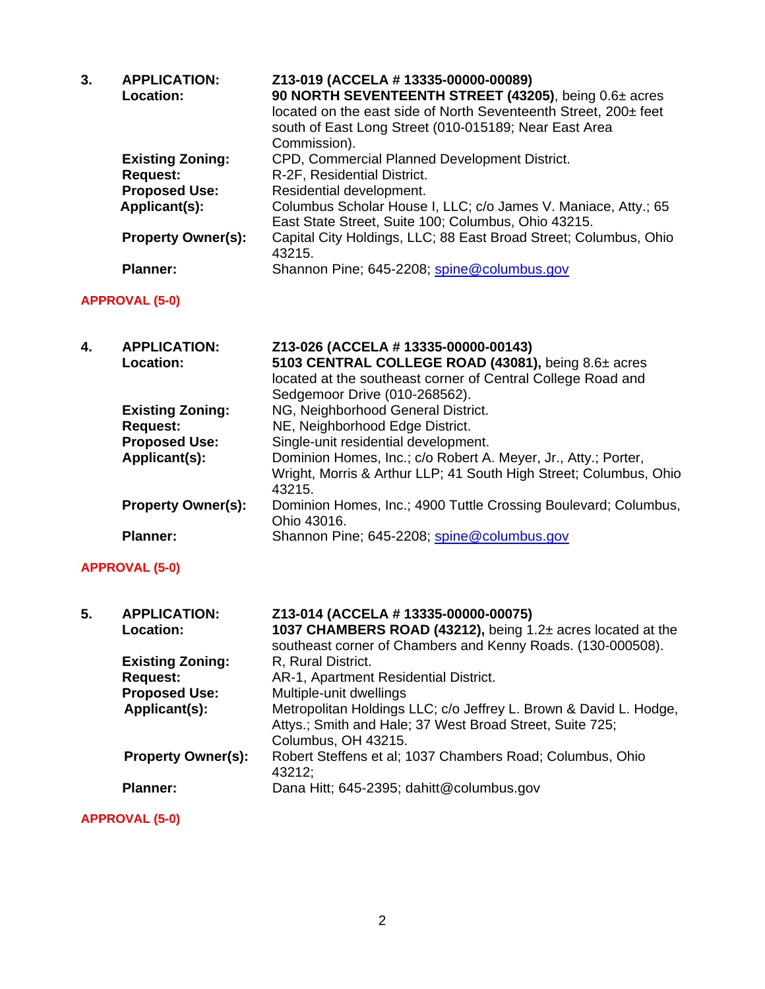| 3. | <b>APPLICATION:</b><br>Location:      | Z13-019 (ACCELA # 13335-00000-00089)<br>90 NORTH SEVENTEENTH STREET (43205), being 0.6± acres<br>located on the east side of North Seventeenth Street, 200± feet<br>south of East Long Street (010-015189; Near East Area<br>Commission). |
|----|---------------------------------------|-------------------------------------------------------------------------------------------------------------------------------------------------------------------------------------------------------------------------------------------|
|    | <b>Existing Zoning:</b>               | CPD, Commercial Planned Development District.                                                                                                                                                                                             |
|    | <b>Request:</b>                       | R-2F, Residential District.                                                                                                                                                                                                               |
|    | <b>Proposed Use:</b>                  | Residential development.                                                                                                                                                                                                                  |
|    | Applicant(s):                         | Columbus Scholar House I, LLC; c/o James V. Maniace, Atty.; 65<br>East State Street, Suite 100; Columbus, Ohio 43215.                                                                                                                     |
|    | <b>Property Owner(s):</b>             | Capital City Holdings, LLC; 88 East Broad Street; Columbus, Ohio<br>43215.                                                                                                                                                                |
|    | <b>Planner:</b>                       | Shannon Pine; 645-2208; spine@columbus.gov                                                                                                                                                                                                |
|    | <b>APPROVAL (5-0)</b>                 |                                                                                                                                                                                                                                           |
| 4. | <b>APPLICATION:</b><br>Location:      | Z13-026 (ACCELA # 13335-00000-00143)<br>5103 CENTRAL COLLEGE ROAD (43081), being 8.6± acres<br>located at the southeast corner of Central College Road and<br>Sedgemoor Drive (010-268562).                                               |
|    | <b>Existing Zoning:</b>               | NG, Neighborhood General District.                                                                                                                                                                                                        |
|    | <b>Request:</b>                       | NE, Neighborhood Edge District.                                                                                                                                                                                                           |
|    | <b>Proposed Use:</b><br>Applicant(s): | Single-unit residential development.<br>Dominion Homes, Inc.; c/o Robert A. Meyer, Jr., Atty.; Porter,<br>Wright, Morris & Arthur LLP; 41 South High Street; Columbus, Ohio<br>43215.                                                     |

| <b>Property Owner(s):</b> | Dominion Homes, Inc.; 4900 Tuttle Crossing Boulevard; Columbus, |
|---------------------------|-----------------------------------------------------------------|
|                           | Ohio 43016.                                                     |
| <b>Planner:</b>           | Shannon Pine; 645-2208; spine@columbus.gov                      |

# **APPROVAL (5-0)**

| 5. | <b>APPLICATION:</b><br><b>Location:</b> | Z13-014 (ACCELA # 13335-00000-00075)<br>1037 CHAMBERS ROAD (43212), being 1.2± acres located at the<br>southeast corner of Chambers and Kenny Roads. (130-000508). |
|----|-----------------------------------------|--------------------------------------------------------------------------------------------------------------------------------------------------------------------|
|    | <b>Existing Zoning:</b>                 | R, Rural District.                                                                                                                                                 |
|    | <b>Request:</b>                         | AR-1, Apartment Residential District.                                                                                                                              |
|    | <b>Proposed Use:</b>                    | Multiple-unit dwellings                                                                                                                                            |
|    | Applicant(s):                           | Metropolitan Holdings LLC; c/o Jeffrey L. Brown & David L. Hodge,<br>Attys.; Smith and Hale; 37 West Broad Street, Suite 725;<br>Columbus, OH 43215.               |
|    | <b>Property Owner(s):</b>               | Robert Steffens et al; 1037 Chambers Road; Columbus, Ohio<br>43212;                                                                                                |
|    | <b>Planner:</b>                         | Dana Hitt; 645-2395; dahitt@columbus.gov                                                                                                                           |

**APPROVAL (5-0)**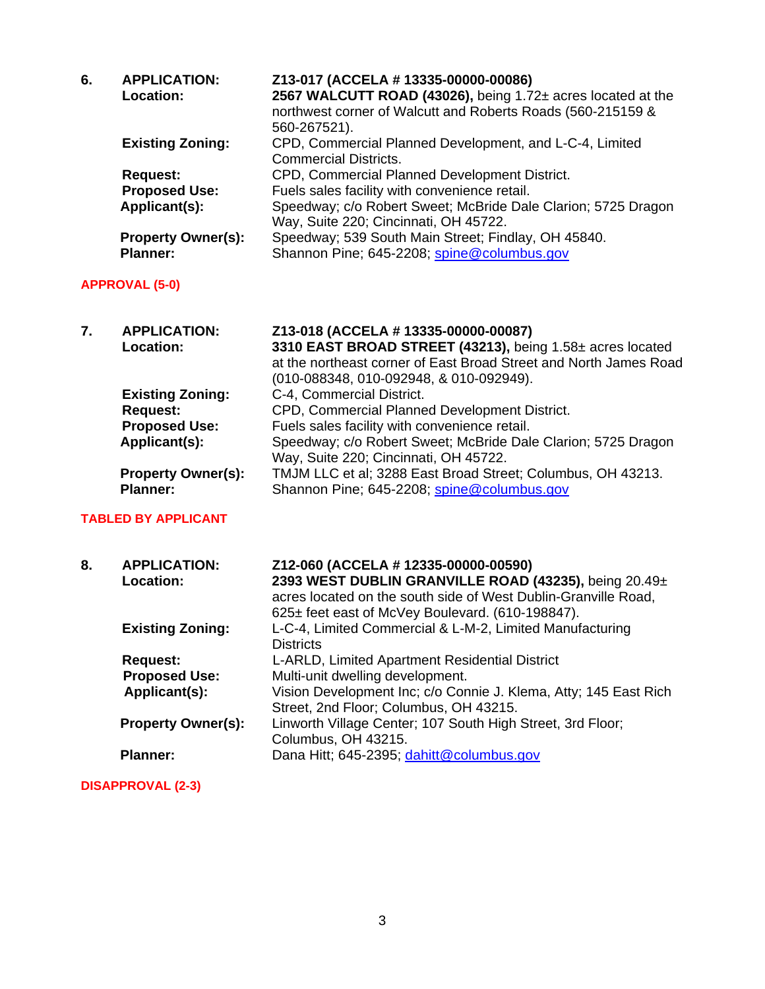| 6. | <b>APPLICATION:</b><br>Location: | Z13-017 (ACCELA # 13335-00000-00086)<br>2567 WALCUTT ROAD (43026), being 1.72± acres located at the<br>northwest corner of Walcutt and Roberts Roads (560-215159 &<br>560-267521). |
|----|----------------------------------|------------------------------------------------------------------------------------------------------------------------------------------------------------------------------------|
|    | <b>Existing Zoning:</b>          | CPD, Commercial Planned Development, and L-C-4, Limited<br><b>Commercial Districts.</b>                                                                                            |
|    | <b>Request:</b>                  | CPD, Commercial Planned Development District.                                                                                                                                      |
|    | <b>Proposed Use:</b>             | Fuels sales facility with convenience retail.                                                                                                                                      |
|    | Applicant(s):                    | Speedway; c/o Robert Sweet; McBride Dale Clarion; 5725 Dragon<br>Way, Suite 220; Cincinnati, OH 45722.                                                                             |
|    | <b>Property Owner(s):</b>        | Speedway; 539 South Main Street; Findlay, OH 45840.                                                                                                                                |
|    | <b>Planner:</b>                  | Shannon Pine; 645-2208; spine@columbus.gov                                                                                                                                         |
|    | <b>APPROVAL (5-0)</b>            |                                                                                                                                                                                    |

| 7. | <b>APPLICATION:</b>       | Z13-018 (ACCELA # 13335-00000-00087)                              |
|----|---------------------------|-------------------------------------------------------------------|
|    | Location:                 | 3310 EAST BROAD STREET (43213), being 1.58± acres located         |
|    |                           | at the northeast corner of East Broad Street and North James Road |
|    |                           | (010-088348, 010-092948, & 010-092949).                           |
|    | <b>Existing Zoning:</b>   | C-4, Commercial District.                                         |
|    | <b>Request:</b>           | CPD, Commercial Planned Development District.                     |
|    | <b>Proposed Use:</b>      | Fuels sales facility with convenience retail.                     |
|    | Applicant(s):             | Speedway; c/o Robert Sweet; McBride Dale Clarion; 5725 Dragon     |
|    |                           | Way, Suite 220; Cincinnati, OH 45722.                             |
|    | <b>Property Owner(s):</b> | TMJM LLC et al; 3288 East Broad Street; Columbus, OH 43213.       |
|    | <b>Planner:</b>           | Shannon Pine; 645-2208; spine@columbus.gov                        |

## **TABLED BY APPLICANT**

| 8. | <b>APPLICATION:</b><br>Location: | Z12-060 (ACCELA # 12335-00000-00590)<br>2393 WEST DUBLIN GRANVILLE ROAD (43235), being 20.49±<br>acres located on the south side of West Dublin-Granville Road,<br>625± feet east of McVey Boulevard. (610-198847). |
|----|----------------------------------|---------------------------------------------------------------------------------------------------------------------------------------------------------------------------------------------------------------------|
|    | <b>Existing Zoning:</b>          | L-C-4, Limited Commercial & L-M-2, Limited Manufacturing<br><b>Districts</b>                                                                                                                                        |
|    | <b>Request:</b>                  | L-ARLD, Limited Apartment Residential District                                                                                                                                                                      |
|    | <b>Proposed Use:</b>             | Multi-unit dwelling development.                                                                                                                                                                                    |
|    | Applicant(s):                    | Vision Development Inc; c/o Connie J. Klema, Atty; 145 East Rich<br>Street, 2nd Floor; Columbus, OH 43215.                                                                                                          |
|    | <b>Property Owner(s):</b>        | Linworth Village Center; 107 South High Street, 3rd Floor;<br>Columbus, OH 43215.                                                                                                                                   |
|    | <b>Planner:</b>                  | Dana Hitt; 645-2395; dahitt@columbus.gov                                                                                                                                                                            |

## **DISAPPROVAL (2-3)**